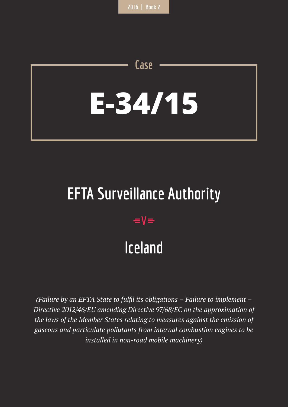# **E-34/15**

**Case**

## **EFTA Surveillance Authority**

## $=$ **V** $=$

# **Iceland**

*(Failure by an EFTA State to fulfil its obligations – Failure to implement – Directive 2012/46/EU amending Directive 97/68/EC on the approximation of the laws of the Member States relating to measures against the emission of gaseous and particulate pollutants from internal combustion engines to be installed in non-road mobile machinery)*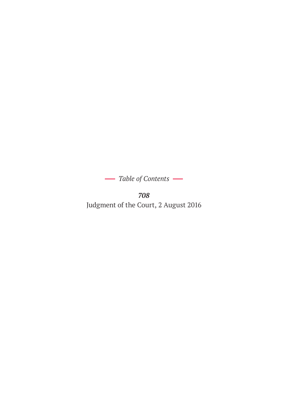*Table of Contents* 

*708* Judgment of the Court, 2 August 2016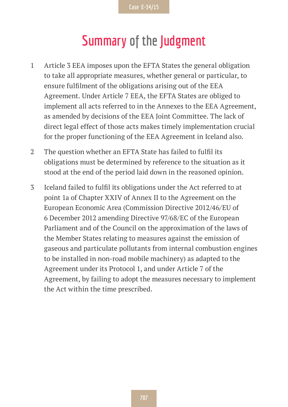## **Summary of the Judgment**

- 1 Article 3 EEA imposes upon the EFTA States the general obligation to take all appropriate measures, whether general or particular, to ensure fulfilment of the obligations arising out of the EEA Agreement. Under Article 7 EEA, the EFTA States are obliged to implement all acts referred to in the Annexes to the EEA Agreement, as amended by decisions of the EEA Joint Committee. The lack of direct legal effect of those acts makes timely implementation crucial for the proper functioning of the EEA Agreement in Iceland also.
- 2 The question whether an EFTA State has failed to fulfil its obligations must be determined by reference to the situation as it stood at the end of the period laid down in the reasoned opinion.
- 3 Iceland failed to fulfil its obligations under the Act referred to at point 1a of Chapter XXIV of Annex II to the Agreement on the European Economic Area (Commission Directive 2012/46/EU of 6 December 2012 amending Directive 97/68/EC of the European Parliament and of the Council on the approximation of the laws of the Member States relating to measures against the emission of gaseous and particulate pollutants from internal combustion engines to be installed in non-road mobile machinery) as adapted to the Agreement under its Protocol 1, and under Article 7 of the Agreement, by failing to adopt the measures necessary to implement the Act within the time prescribed.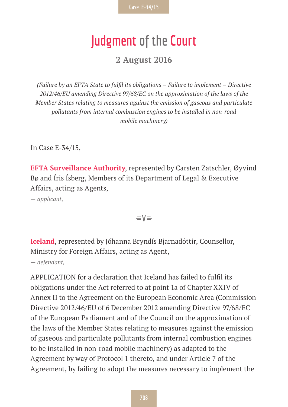## **Judgment of the Court**

#### **2 August 2016**

*(Failure by an EFTA State to fulfil its obligations – Failure to implement – Directive 2012/46/EU amending Directive 97/68/EC on the approximation of the laws of the Member States relating to measures against the emission of gaseous and particulate pollutants from internal combustion engines to be installed in non-road mobile machinery)*

In Case E-34/15,

**EFTA Surveillance Authority**, represented by Carsten Zatschler, Øyvind Bø and Íris Ísberg, Members of its Department of Legal & Executive Affairs, acting as Agents,

*— applicant,*

 $=$ V $=$ 

**Iceland**, represented by Jóhanna Bryndís Bjarnadóttir, Counsellor, Ministry for Foreign Affairs, acting as Agent,

*— defendant,*

APPLICATION for a declaration that Iceland has failed to fulfil its obligations under the Act referred to at point 1a of Chapter XXIV of Annex II to the Agreement on the European Economic Area (Commission Directive 2012/46/EU of 6 December 2012 amending Directive 97/68/EC of the European Parliament and of the Council on the approximation of the laws of the Member States relating to measures against the emission of gaseous and particulate pollutants from internal combustion engines to be installed in non-road mobile machinery) as adapted to the Agreement by way of Protocol 1 thereto, and under Article 7 of the Agreement, by failing to adopt the measures necessary to implement the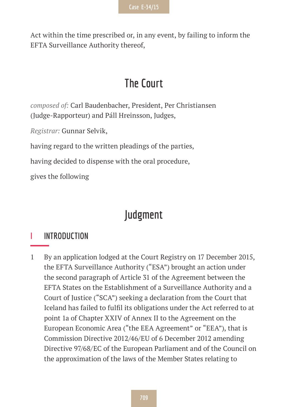Act within the time prescribed or, in any event, by failing to inform the EFTA Surveillance Authority thereof,

## **The Court**

*composed of:* Carl Baudenbacher, President, Per Christiansen (Judge-Rapporteur) and Páll Hreinsson, Judges,

*Registrar:* Gunnar Selvik,

having regard to the written pleadings of the parties,

having decided to dispense with the oral procedure,

gives the following

## **Judgment**

### **I INTRODUCTION**

1 By an application lodged at the Court Registry on 17 December 2015, the EFTA Surveillance Authority ("ESA") brought an action under the second paragraph of Article 31 of the Agreement between the EFTA States on the Establishment of a Surveillance Authority and a Court of Justice ("SCA") seeking a declaration from the Court that Iceland has failed to fulfil its obligations under the Act referred to at point 1a of Chapter XXIV of Annex II to the Agreement on the European Economic Area ("the EEA Agreement" or "EEA"), that is Commission Directive 2012/46/EU of 6 December 2012 amending Directive 97/68/EC of the European Parliament and of the Council on the approximation of the laws of the Member States relating to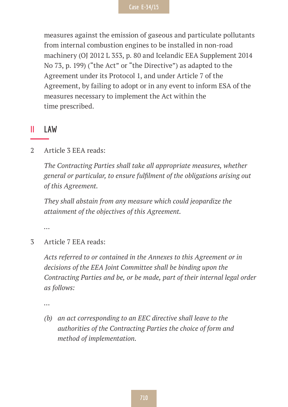measures against the emission of gaseous and particulate pollutants from internal combustion engines to be installed in non-road machinery (OJ 2012 L 353, p. 80 and Icelandic EEA Supplement 2014 No 73, p. 199) ("the Act" or "the Directive") as adapted to the Agreement under its Protocol 1, and under Article 7 of the Agreement, by failing to adopt or in any event to inform ESA of the measures necessary to implement the Act within the time prescribed.

#### **II LAW**

2 Article 3 EEA reads:

*The Contracting Parties shall take all appropriate measures, whether general or particular, to ensure fulfilment of the obligations arising out of this Agreement.*

*They shall abstain from any measure which could jeopardize the attainment of the objectives of this Agreement.*

*…*

3 Article 7 EEA reads:

*Acts referred to or contained in the Annexes to this Agreement or in decisions of the EEA Joint Committee shall be binding upon the Contracting Parties and be, or be made, part of their internal legal order as follows:*

*…*

*(b) an act corresponding to an EEC directive shall leave to the authorities of the Contracting Parties the choice of form and method of implementation.*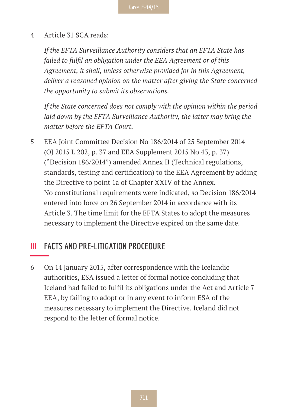4 Article 31 SCA reads:

*If the EFTA Surveillance Authority considers that an EFTA State has failed to fulfil an obligation under the EEA Agreement or of this Agreement, it shall, unless otherwise provided for in this Agreement, deliver a reasoned opinion on the matter after giving the State concerned the opportunity to submit its observations.*

*If the State concerned does not comply with the opinion within the period*  laid down by the EFTA Surveillance Authority, the latter may bring the *matter before the EFTA Court.*

5 EEA Joint Committee Decision No 186/2014 of 25 September 2014 (OJ 2015 L 202, p. 37 and EEA Supplement 2015 No 43, p. 37) ("Decision 186/2014") amended Annex II (Technical regulations, standards, testing and certification) to the EEA Agreement by adding the Directive to point 1a of Chapter XXIV of the Annex. No constitutional requirements were indicated, so Decision 186/2014 entered into force on 26 September 2014 in accordance with its Article 3. The time limit for the EFTA States to adopt the measures necessary to implement the Directive expired on the same date.

#### **III FACTS AND PRE-LITIGATION PROCEDURE**

6 On 14 January 2015, after correspondence with the Icelandic authorities, ESA issued a letter of formal notice concluding that Iceland had failed to fulfil its obligations under the Act and Article 7 EEA, by failing to adopt or in any event to inform ESA of the measures necessary to implement the Directive. Iceland did not respond to the letter of formal notice.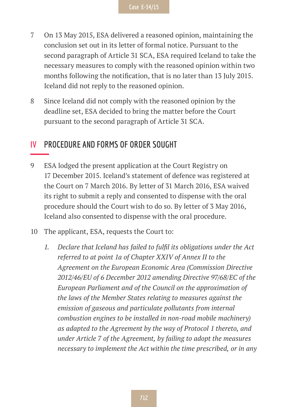- 7 On 13 May 2015, ESA delivered a reasoned opinion, maintaining the conclusion set out in its letter of formal notice. Pursuant to the second paragraph of Article 31 SCA, ESA required Iceland to take the necessary measures to comply with the reasoned opinion within two months following the notification, that is no later than 13 July 2015. Iceland did not reply to the reasoned opinion.
- 8 Since Iceland did not comply with the reasoned opinion by the deadline set, ESA decided to bring the matter before the Court pursuant to the second paragraph of Article 31 SCA.

#### **IV PROCEDURE AND FORMS OF ORDER SOUGHT**

- 9 ESA lodged the present application at the Court Registry on 17 December 2015. Iceland's statement of defence was registered at the Court on 7 March 2016. By letter of 31 March 2016, ESA waived its right to submit a reply and consented to dispense with the oral procedure should the Court wish to do so. By letter of 3 May 2016, Iceland also consented to dispense with the oral procedure.
- 10 The applicant, ESA, requests the Court to:
	- *1. Declare that Iceland has failed to fulfil its obligations under the Act referred to at point 1a of Chapter XXIV of Annex II to the Agreement on the European Economic Area (Commission Directive 2012/46/EU of 6 December 2012 amending Directive 97/68/EC of the European Parliament and of the Council on the approximation of the laws of the Member States relating to measures against the emission of gaseous and particulate pollutants from internal combustion engines to be installed in non-road mobile machinery) as adapted to the Agreement by the way of Protocol 1 thereto, and under Article 7 of the Agreement, by failing to adopt the measures necessary to implement the Act within the time prescribed, or in any*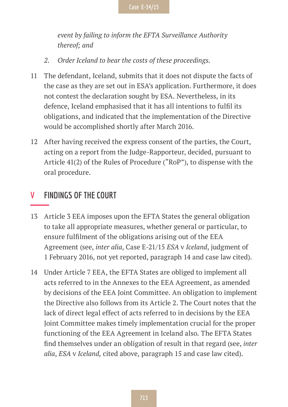

*event by failing to inform the EFTA Surveillance Authority thereof; and*

- *2. Order Iceland to bear the costs of these proceedings.*
- 11 The defendant, Iceland, submits that it does not dispute the facts of the case as they are set out in ESA's application. Furthermore, it does not contest the declaration sought by ESA. Nevertheless, in its defence, Iceland emphasised that it has all intentions to fulfil its obligations, and indicated that the implementation of the Directive would be accomplished shortly after March 2016.
- 12 After having received the express consent of the parties, the Court, acting on a report from the Judge-Rapporteur, decided, pursuant to Article 41(2) of the Rules of Procedure ("RoP"), to dispense with the oral procedure.

#### **V FINDINGS OF THE COURT**

- 13 Article 3 EEA imposes upon the EFTA States the general obligation to take all appropriate measures, whether general or particular, to ensure fulfilment of the obligations arising out of the EEA Agreement (see, *inter alia*, Case E-21/15 *ESA* v *Iceland*, judgment of 1 February 2016, not yet reported, paragraph 14 and case law cited).
- 14 Under Article 7 EEA, the EFTA States are obliged to implement all acts referred to in the Annexes to the EEA Agreement, as amended by decisions of the EEA Joint Committee. An obligation to implement the Directive also follows from its Article 2. The Court notes that the lack of direct legal effect of acts referred to in decisions by the EEA Joint Committee makes timely implementation crucial for the proper functioning of the EEA Agreement in Iceland also. The EFTA States find themselves under an obligation of result in that regard (see, *inter alia*, *ESA* v *Iceland,* cited above, paragraph 15 and case law cited).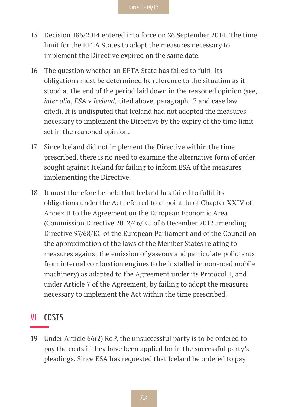- 15 Decision 186/2014 entered into force on 26 September 2014. The time limit for the EFTA States to adopt the measures necessary to implement the Directive expired on the same date.
- 16 The question whether an EFTA State has failed to fulfil its obligations must be determined by reference to the situation as it stood at the end of the period laid down in the reasoned opinion (see, *inter alia*, *ESA* v *Iceland*, cited above, paragraph 17 and case law cited). It is undisputed that Iceland had not adopted the measures necessary to implement the Directive by the expiry of the time limit set in the reasoned opinion.
- 17 Since Iceland did not implement the Directive within the time prescribed, there is no need to examine the alternative form of order sought against Iceland for failing to inform ESA of the measures implementing the Directive.
- 18 It must therefore be held that Iceland has failed to fulfil its obligations under the Act referred to at point 1a of Chapter XXIV of Annex II to the Agreement on the European Economic Area (Commission Directive 2012/46/EU of 6 December 2012 amending Directive 97/68/EC of the European Parliament and of the Council on the approximation of the laws of the Member States relating to measures against the emission of gaseous and particulate pollutants from internal combustion engines to be installed in non-road mobile machinery) as adapted to the Agreement under its Protocol 1, and under Article 7 of the Agreement, by failing to adopt the measures necessary to implement the Act within the time prescribed.

#### **VI COSTS**

19 Under Article 66(2) RoP, the unsuccessful party is to be ordered to pay the costs if they have been applied for in the successful party's pleadings. Since ESA has requested that Iceland be ordered to pay